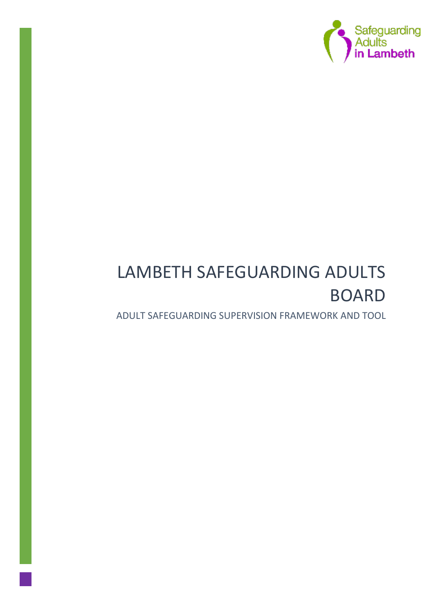

# LAMBETH SAFEGUARDING ADULTS BOARD

ADULT SAFEGUARDING SUPERVISION FRAMEWORK AND TOOL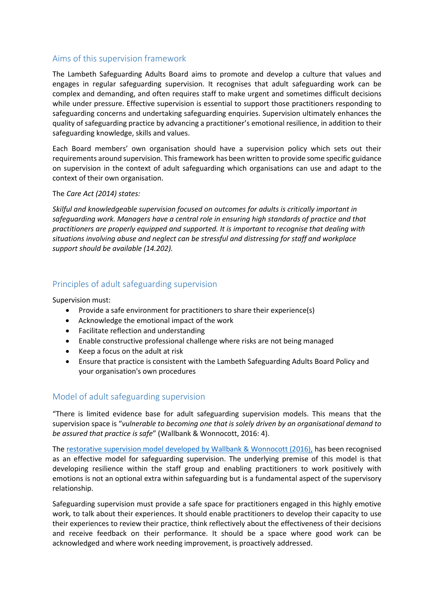# Aims of this supervision framework

The Lambeth Safeguarding Adults Board aims to promote and develop a culture that values and engages in regular safeguarding supervision. It recognises that adult safeguarding work can be complex and demanding, and often requires staff to make urgent and sometimes difficult decisions while under pressure. Effective supervision is essential to support those practitioners responding to safeguarding concerns and undertaking safeguarding enquiries. Supervision ultimately enhances the quality of safeguarding practice by advancing a practitioner's emotional resilience, in addition to their safeguarding knowledge, skills and values.

Each Board members' own organisation should have a supervision policy which sets out their requirements around supervision. This framework has been written to provide some specific guidance on supervision in the context of adult safeguarding which organisations can use and adapt to the context of their own organisation.

### The *Care Act (2014) states:*

*Skilful and knowledgeable supervision focused on outcomes for adults is critically important in safeguarding work. Managers have a central role in ensuring high standards of practice and that practitioners are properly equipped and supported. It is important to recognise that dealing with situations involving abuse and neglect can be stressful and distressing for staff and workplace support should be available (14.202).*

# Principles of adult safeguarding supervision

Supervision must:

- Provide a safe environment for practitioners to share their experience(s)
- Acknowledge the emotional impact of the work
- Facilitate reflection and understanding
- Enable constructive professional challenge where risks are not being managed
- Keep a focus on the adult at risk
- Ensure that practice is consistent with the Lambeth Safeguarding Adults Board Policy and your organisation's own procedures

# Model of adult safeguarding supervision

"There is limited evidence base for adult safeguarding supervision models. This means that the supervision space is "*vulnerable to becoming one that is solely driven by an organisational demand to be assured that practice is safe*" (Wallbank & Wonnocott, 2016: 4).

The [restorative supervision model developed by Wallbank & Wonnocott \(2016\),](https://www.researchgate.net/publication/281780985_The_integrated_model_of_restorative_supervision_for_use_within_safeguarding) has been recognised as an effective model for safeguarding supervision. The underlying premise of this model is that developing resilience within the staff group and enabling practitioners to work positively with emotions is not an optional extra within safeguarding but is a fundamental aspect of the supervisory relationship.

Safeguarding supervision must provide a safe space for practitioners engaged in this highly emotive work, to talk about their experiences. It should enable practitioners to develop their capacity to use their experiences to review their practice, think reflectively about the effectiveness of their decisions and receive feedback on their performance. It should be a space where good work can be acknowledged and where work needing improvement, is proactively addressed.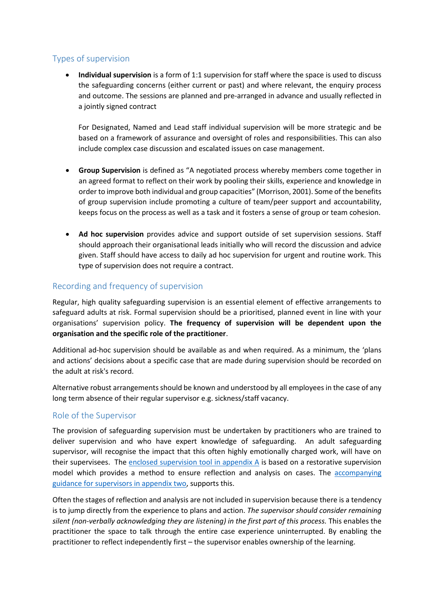# Types of supervision

 **Individual supervision** is a form of 1:1 supervision for staff where the space is used to discuss the safeguarding concerns (either current or past) and where relevant, the enquiry process and outcome. The sessions are planned and pre-arranged in advance and usually reflected in a jointly signed contract

For Designated, Named and Lead staff individual supervision will be more strategic and be based on a framework of assurance and oversight of roles and responsibilities. This can also include complex case discussion and escalated issues on case management.

- **Group Supervision** is defined as "A negotiated process whereby members come together in an agreed format to reflect on their work by pooling their skills, experience and knowledge in order to improve both individual and group capacities" (Morrison, 2001). Some of the benefits of group supervision include promoting a culture of team/peer support and accountability, keeps focus on the process as well as a task and it fosters a sense of group or team cohesion.
- **Ad hoc supervision** provides advice and support outside of set supervision sessions. Staff should approach their organisational leads initially who will record the discussion and advice given. Staff should have access to daily ad hoc supervision for urgent and routine work. This type of supervision does not require a contract.

# Recording and frequency of supervision

Regular, high quality safeguarding supervision is an essential element of effective arrangements to safeguard adults at risk. Formal supervision should be a prioritised, planned event in line with your organisations' supervision policy. **The frequency of supervision will be dependent upon the organisation and the specific role of the practitioner**.

Additional ad-hoc supervision should be available as and when required. As a minimum, the 'plans and actions' decisions about a specific case that are made during supervision should be recorded on the adult at risk's record.

Alternative robust arrangements should be known and understood by all employees in the case of any long term absence of their regular supervisor e.g. sickness/staff vacancy.

# Role of the Supervisor

The provision of safeguarding supervision must be undertaken by practitioners who are trained to deliver supervision and who have expert knowledge of safeguarding. An adult safeguarding supervisor, will recognise the impact that this often highly emotionally charged work, will have on their supervisees. The [enclosed supervision tool](#page-4-0) in appendix A is based on a restorative supervision model which provides a method to ensure reflection and analysis on cases. The accompanying [guidance for supervisors in appendix two,](#page-6-0) supports this.

Often the stages of reflection and analysis are not included in supervision because there is a tendency is to jump directly from the experience to plans and action. *The supervisor should consider remaining silent (non-verbally acknowledging they are listening) in the first part of this process.* This enables the practitioner the space to talk through the entire case experience uninterrupted. By enabling the practitioner to reflect independently first – the supervisor enables ownership of the learning.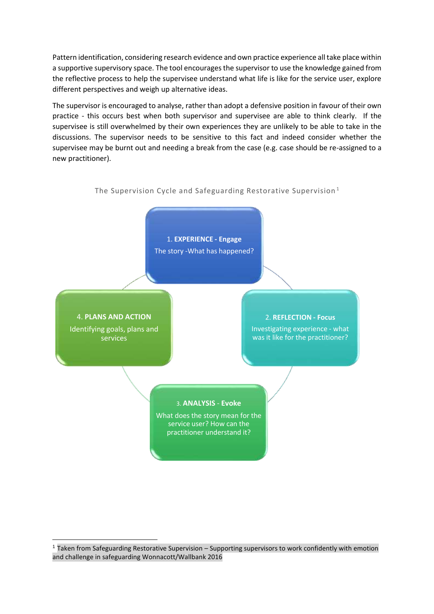Pattern identification, considering research evidence and own practice experience all take place within a supportive supervisory space. The tool encourages the supervisor to use the knowledge gained from the reflective process to help the supervisee understand what life is like for the service user, explore different perspectives and weigh up alternative ideas.

The supervisor is encouraged to analyse, rather than adopt a defensive position in favour of their own practice - this occurs best when both supervisor and supervisee are able to think clearly. If the supervisee is still overwhelmed by their own experiences they are unlikely to be able to take in the discussions. The supervisor needs to be sensitive to this fact and indeed consider whether the supervisee may be burnt out and needing a break from the case (e.g. case should be re-assigned to a new practitioner).



# The Supervision Cycle and Safeguarding Restorative Supervision <sup>1</sup>

**.** 

<sup>1</sup> Taken from Safeguarding Restorative Supervision – Supporting supervisors to work confidently with emotion and challenge in safeguarding Wonnacott/Wallbank 2016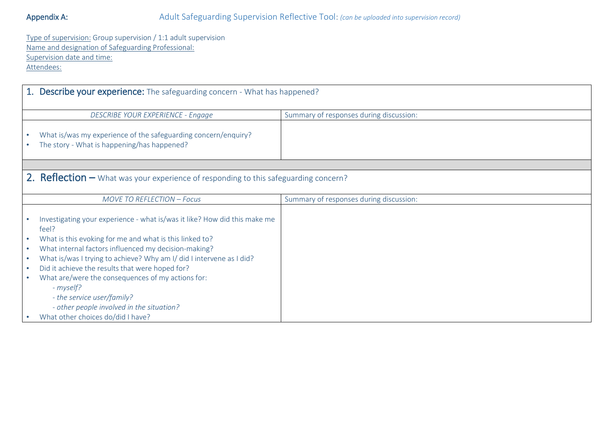Type of supervision: Group supervision / 1:1 adult supervision Name and designation of Safeguarding Professional: Supervision date and time: Attendees:

<span id="page-4-0"></span>

| 1. Describe your experience: The safeguarding concern - What has happened? |                                                                                                               |                                         |
|----------------------------------------------------------------------------|---------------------------------------------------------------------------------------------------------------|-----------------------------------------|
|                                                                            | <b>DESCRIBE YOUR EXPERIENCE - Engage</b>                                                                      | Summary of responses during discussion: |
|                                                                            | What is/was my experience of the safeguarding concern/enquiry?<br>The story - What is happening/has happened? |                                         |
|                                                                            |                                                                                                               |                                         |
|                                                                            | <b>2. Reflection</b> $-$ What was your experience of responding to this safeguarding concern?                 |                                         |
|                                                                            | MOVE TO REFLECTION - Focus                                                                                    | Summary of responses during discussion: |
|                                                                            | Investigating your experience - what is/was it like? How did this make me<br>feel?                            |                                         |
|                                                                            | What is this evoking for me and what is this linked to?                                                       |                                         |
| $\bullet$                                                                  | What internal factors influenced my decision-making?                                                          |                                         |
| ۰                                                                          | What is/was I trying to achieve? Why am I/ did I intervene as I did?                                          |                                         |
|                                                                            | Did it achieve the results that were hoped for?                                                               |                                         |
|                                                                            | What are/were the consequences of my actions for:<br>- myself?                                                |                                         |
|                                                                            | - the service user/family?                                                                                    |                                         |
|                                                                            | - other people involved in the situation?                                                                     |                                         |
|                                                                            | What other choices do/did I have?                                                                             |                                         |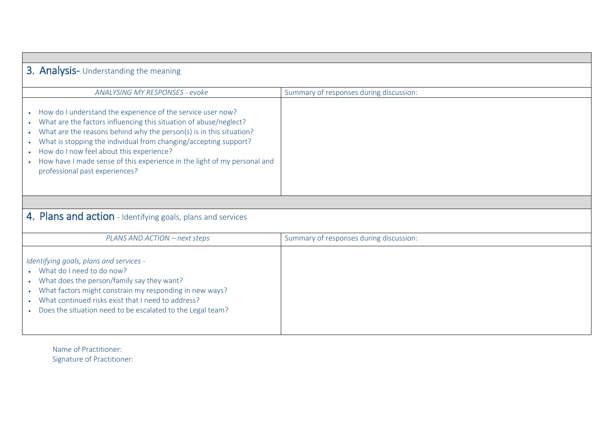| 3. Analysis- Understanding the meaning                                                                                                                                                                                                                                                                                                                                                                                                                          |                                         |  |
|-----------------------------------------------------------------------------------------------------------------------------------------------------------------------------------------------------------------------------------------------------------------------------------------------------------------------------------------------------------------------------------------------------------------------------------------------------------------|-----------------------------------------|--|
| ANALYSING MY RESPONSES - evoke                                                                                                                                                                                                                                                                                                                                                                                                                                  | Summary of responses during discussion: |  |
| How do I understand the experience of the service user now?<br>What are the factors influencing this situation of abuse/neglect?<br>$\bullet$<br>What are the reasons behind why the person(s) is in this situation?<br>What is stopping the individual from changing/accepting support?<br>$\bullet$<br>How do I now feel about this experience?<br>How have I made sense of this experience in the light of my personal and<br>professional past experiences? |                                         |  |
|                                                                                                                                                                                                                                                                                                                                                                                                                                                                 |                                         |  |
| 4. Plans and action - Identifying goals, plans and services                                                                                                                                                                                                                                                                                                                                                                                                     |                                         |  |
| PLANS AND ACTION - next steps                                                                                                                                                                                                                                                                                                                                                                                                                                   | Summary of responses during discussion: |  |
| Identifying goals, plans and services -<br>What do I need to do now?<br>What does the person/family say they want?<br>What factors might constrain my responding in new ways?<br>$\bullet$<br>What continued risks exist that I need to address?<br>Does the situation need to be escalated to the Legal team?                                                                                                                                                  |                                         |  |

Name of Practitioner: Signature of Practitioner: